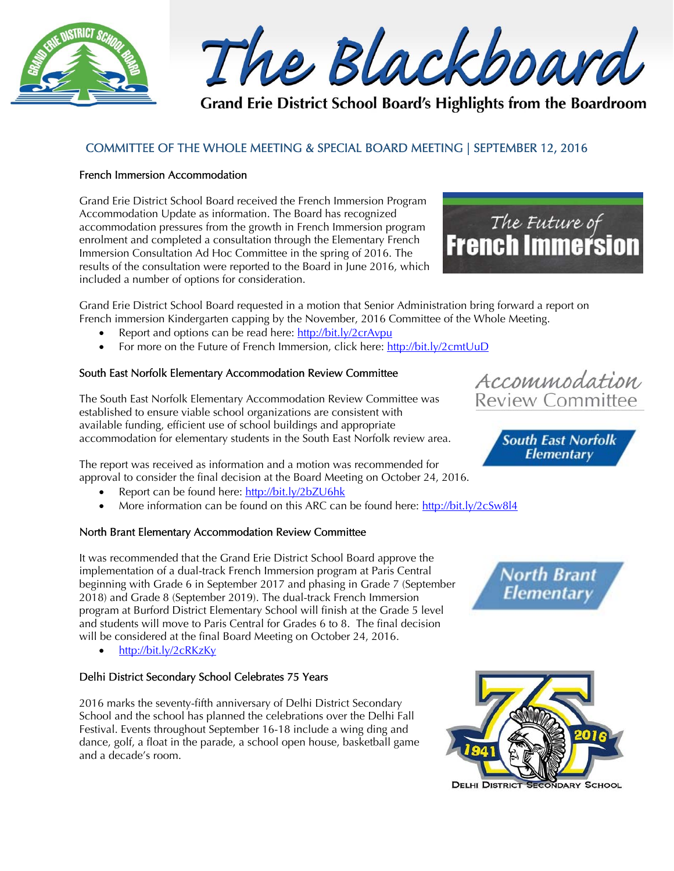

The Blackboard

Grand Erie District School Board's Highlights from the Boardroom

# COMMITTEE OF THE WHOLE MEETING & SPECIAL BOARD MEETING | SEPTEMBER 12, 2016

## French Immersion Accommodation

Grand Erie District School Board received the French Immersion Program Accommodation Update as information. The Board has recognized accommodation pressures from the growth in French Immersion program enrolment and completed a consultation through the Elementary French Immersion Consultation Ad Hoc Committee in the spring of 2016. The results of the consultation were reported to the Board in June 2016, which included a number of options for consideration.



Grand Erie District School Board requested in a motion that Senior Administration bring forward a report on French immersion Kindergarten capping by the November, 2016 Committee of the Whole Meeting.

- Report and options can be read here: http://bit.ly/2crAvpu
- For more on the Future of French Immersion, click here: http://bit.ly/2cmtUuD

## South East Norfolk Elementary Accommodation Review Committee

The South East Norfolk Elementary Accommodation Review Committee was established to ensure viable school organizations are consistent with available funding, efficient use of school buildings and appropriate accommodation for elementary students in the South East Norfolk review area.

The report was received as information and a motion was recommended for approval to consider the final decision at the Board Meeting on October 24, 2016.

- Report can be found here: http://bit.ly/2bZU6hk
- More information can be found on this ARC can be found here: http://bit.ly/2cSw8l4

### North Brant Elementary Accommodation Review Committee

It was recommended that the Grand Erie District School Board approve the implementation of a dual-track French Immersion program at Paris Central beginning with Grade 6 in September 2017 and phasing in Grade 7 (September 2018) and Grade 8 (September 2019). The dual-track French Immersion program at Burford District Elementary School will finish at the Grade 5 level and students will move to Paris Central for Grades 6 to 8. The final decision will be considered at the final Board Meeting on October 24, 2016.

http://bit.ly/2cRKzKy

### Delhi District Secondary School Celebrates 75 Years

2016 marks the seventy-fifth anniversary of Delhi District Secondary School and the school has planned the celebrations over the Delhi Fall Festival. Events throughout September 16-18 include a wing ding and dance, golf, a float in the parade, a school open house, basketball game and a decade's room.





**South East Norfolk**